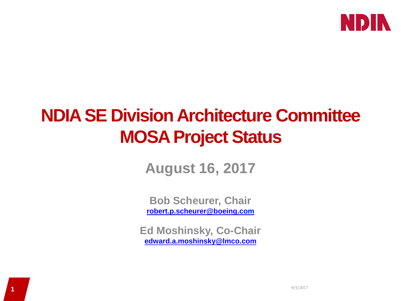

## **NDIA SE Division Architecture Committee MOSA Project Status**

**August 16, 2017**

**Bob Scheurer, Chair [robert.p.scheurer@boeing.com](mailto:robert.p.scheurer@boeing.com)**

**Ed Moshinsky, Co-Chair [edward.a.moshinsky@lmco.com](mailto:edward.a.moshinsky@lmco.com)**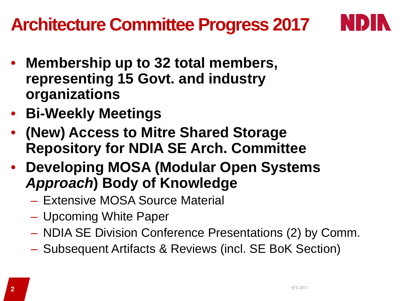## **Architecture Committee Progress 2017**



- **Membership up to 32 total members, representing 15 Govt. and industry organizations**
- **Bi-Weekly Meetings**
- **(New) Access to Mitre Shared Storage Repository for NDIA SE Arch. Committee**
- **Developing MOSA (Modular Open Systems**  *Approach***) Body of Knowledge**
	- Extensive MOSA Source Material
	- Upcoming White Paper
	- NDIA SE Division Conference Presentations (2) by Comm.
	- Subsequent Artifacts & Reviews (incl. SE BoK Section)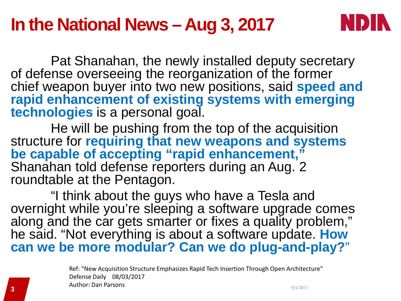### **In the National News – Aug 3, 2017**



Pat Shanahan, the newly installed deputy secretary of defense overseeing the reorganization of the former chief weapon buyer into two new positions, said **speed and rapid enhancement of existing systems with emerging technologies** is a personal goal.

He will be pushing from the top of the acquisition structure for **requiring that new weapons and systems be capable of accepting "rapid enhancement,"** Shanahan told defense reporters during an Aug. 2 roundtable at the Pentagon.

"I think about the guys who have a Tesla and overnight while you're sleeping a software upgrade comes along and the car gets smarter or fixes a quality problem," he said. "Not everything is about a software update. **How can we be more modular? Can we do plug-and-play?**"

9/5/2017 **3** Ref: "New Acquisition Structure Emphasizes Rapid Tech Insertion Through Open Architecture" Defense Daily 08/03/2017 Author: Dan Parsons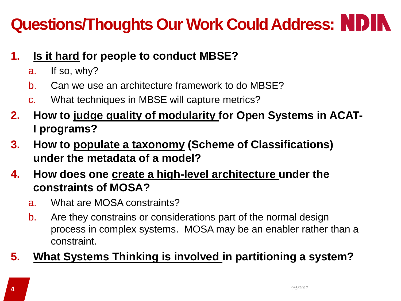# **Questions/Thoughts Our Work Could Address:**

- **1. Is it hard for people to conduct MBSE?**
	- a. If so, why?
	- b. Can we use an architecture framework to do MBSE?
	- c. What techniques in MBSE will capture metrics?
- **2. How to judge quality of modularity for Open Systems in ACAT-I programs?**
- **3. How to populate a taxonomy (Scheme of Classifications) under the metadata of a model?**
- **4. How does one create a high-level architecture under the constraints of MOSA?**
	- a. What are MOSA constraints?
	- b. Are they constrains or considerations part of the normal design process in complex systems. MOSA may be an enabler rather than a constraint.

### **5. What Systems Thinking is involved in partitioning a system?**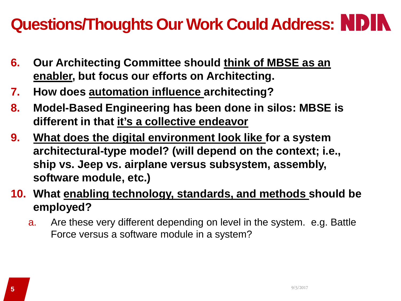### **Questions/Thoughts Our Work Could Address:**

- **6. Our Architecting Committee should think of MBSE as an enabler, but focus our efforts on Architecting.**
- **7. How does automation influence architecting?**
- **8. Model-Based Engineering has been done in silos: MBSE is different in that it's a collective endeavor**
- **9. What does the digital environment look like for a system architectural-type model? (will depend on the context; i.e., ship vs. Jeep vs. airplane versus subsystem, assembly, software module, etc.)**
- **10. What enabling technology, standards, and methods should be employed?**
	- a. Are these very different depending on level in the system. e.g. Battle Force versus a software module in a system?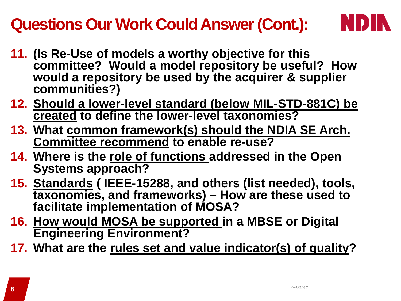### **Questions Our Work Could Answer (Cont.):**



- **11. (Is Re-Use of models a worthy objective for this committee? Would a model repository be useful? How would a repository be used by the acquirer & supplier communities?)**
- **12. Should a lower-level standard (below MIL-STD-881C) be created to define the lower-level taxonomies?**
- **13. What common framework(s) should the NDIA SE Arch. Committee recommend to enable re-use?**
- **14. Where is the role of functions addressed in the Open Systems approach?**
- **15. Standards ( IEEE-15288, and others (list needed), tools, taxonomies, and frameworks) – How are these used to facilitate implementation of MOSA?**
- **16. How would MOSA be supported in a MBSE or Digital Engineering Environment?**
- **17. What are the rules set and value indicator(s) of quality?**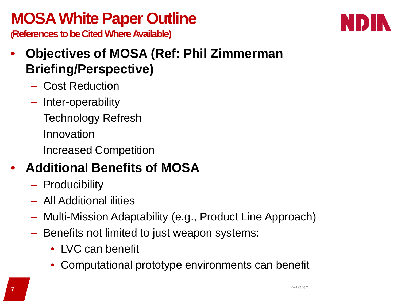### **MOSA White Paper Outline**



**(References to be Cited Where Available)**

- **Objectives of MOSA (Ref: Phil Zimmerman Briefing/Perspective)**
	- Cost Reduction
	- Inter-operability
	- Technology Refresh
	- Innovation
	- Increased Competition

### • **Additional Benefits of MOSA**

- Producibility
- All Additional ilities
- Multi-Mission Adaptability (e.g., Product Line Approach)
- Benefits not limited to just weapon systems:
	- LVC can benefit
	- Computational prototype environments can benefit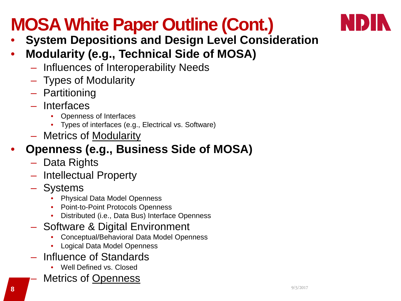# **MOSA White Paper Outline (Cont.)**



- **System Depositions and Design Level Consideration**
- **Modularity (e.g., Technical Side of MOSA)**
	- Influences of Interoperability Needs
	- Types of Modularity
	- Partitioning
	- Interfaces
		- Openness of Interfaces
		- Types of interfaces (e.g., Electrical vs. Software)
	- Metrics of Modularity

### • **Openness (e.g., Business Side of MOSA)**

- Data Rights
- Intellectual Property
- **Systems** 
	- Physical Data Model Openness
	- Point-to-Point Protocols Openness
	- Distributed (i.e., Data Bus) Interface Openness
- Software & Digital Environment
	- Conceptual/Behavioral Data Model Openness
	- Logical Data Model Openness
- Influence of Standards
	- Well Defined vs. Closed
	- Metrics of Openness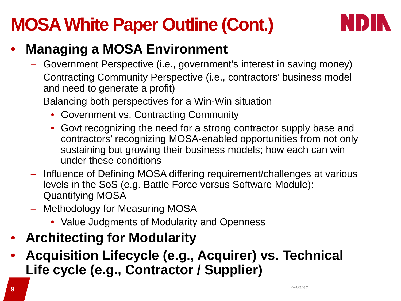## **MOSA White Paper Outline (Cont.)**



### • **Managing a MOSA Environment**

- Government Perspective (i.e., government's interest in saving money)
- Contracting Community Perspective (i.e., contractors' business model and need to generate a profit)
- Balancing both perspectives for a Win-Win situation
	- Government vs. Contracting Community
	- Govt recognizing the need for a strong contractor supply base and contractors' recognizing MOSA-enabled opportunities from not only sustaining but growing their business models; how each can win under these conditions
- Influence of Defining MOSA differing requirement/challenges at various levels in the SoS (e.g. Battle Force versus Software Module): Quantifying MOSA
- Methodology for Measuring MOSA
	- Value Judgments of Modularity and Openness
- **Architecting for Modularity**
- **Acquisition Lifecycle (e.g., Acquirer) vs. Technical Life cycle (e.g., Contractor / Supplier)**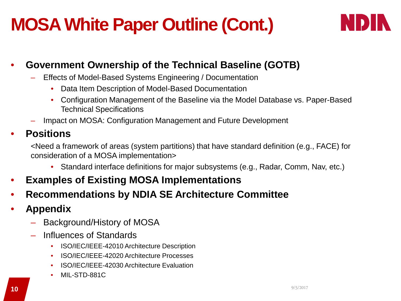## **MOSA White Paper Outline (Cont.)**



### • **Government Ownership of the Technical Baseline (GOTB)**

- Effects of Model-Based Systems Engineering / Documentation
	- Data Item Description of Model-Based Documentation
	- Configuration Management of the Baseline via the Model Database vs. Paper-Based Technical Specifications
- Impact on MOSA: Configuration Management and Future Development

### • **Positions**

<Need a framework of areas (system partitions) that have standard definition (e.g., FACE) for consideration of a MOSA implementation>

- Standard interface definitions for major subsystems (e.g., Radar, Comm, Nav, etc.)
- **Examples of Existing MOSA Implementations**
- **Recommendations by NDIA SE Architecture Committee**
- **Appendix**
	- Background/History of MOSA
	- Influences of Standards
		- ISO/IEC/IEEE-42010 Architecture Description
		- ISO/IEC/IEEE-42020 Architecture Processes
		- ISO/IEC/IEEE-42030 Architecture Evaluation
		- MIL-STD-881C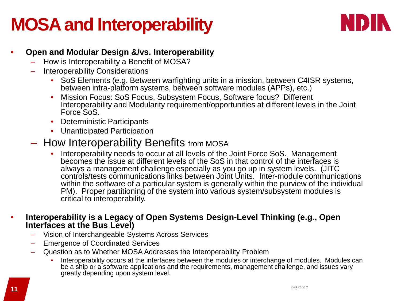### **MOSA and Interoperability**



#### • **Open and Modular Design &/vs. Interoperability**

- How is Interoperability a Benefit of MOSA?
- Interoperability Considerations
	- SoS Elements (e.g. Between warfighting units in a mission, between C4ISR systems, between intra-platform systems, between software modules (APPs), etc.)
	- Mission Focus: SoS Focus, Subsystem Focus, Software focus? Different Interoperability and Modularity requirement/opportunities at different levels in the Joint Force SoS.
	- Deterministic Participants
	- Unanticipated Participation
- How Interoperability Benefits from MOSA
	- Interoperability needs to occur at all levels of the Joint Force SoS. Management becomes the issue at different levels of the SoS in that control of the interfaces is always a management challenge especially as you go up in system levels. (JITC controls/tests communications links between Joint Units. Inter-module communications within the software of a particular system is generally within the purview of the individual PM). Proper partitioning of the system into various system/subsystem modules is critical to interoperability.

#### • **Interoperability is a Legacy of Open Systems Design-Level Thinking (e.g., Open Interfaces at the Bus Level)**

- Vision of Interchangeable Systems Across Services
- Emergence of Coordinated Services
- Question as to Whether MOSA Addresses the Interoperability Problem
	- Interoperability occurs at the interfaces between the modules or interchange of modules. Modules can be a ship or a software applications and the requirements, management challenge, and issues vary greatly depending upon system level.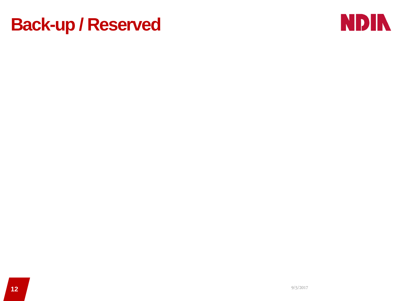### **Back-up / Reserved**

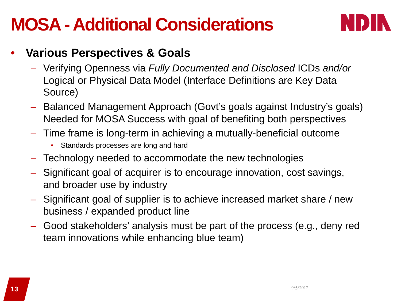### **MOSA -Additional Considerations**



### • **Various Perspectives & Goals**

- Verifying Openness via *Fully Documented and Disclosed* ICDs *and/or* Logical or Physical Data Model (Interface Definitions are Key Data Source)
- Balanced Management Approach (Govt's goals against Industry's goals) Needed for MOSA Success with goal of benefiting both perspectives
- Time frame is long-term in achieving a mutually-beneficial outcome
	- Standards processes are long and hard
- Technology needed to accommodate the new technologies
- Significant goal of acquirer is to encourage innovation, cost savings, and broader use by industry
- Significant goal of supplier is to achieve increased market share / new business / expanded product line
- Good stakeholders' analysis must be part of the process (e.g., deny red team innovations while enhancing blue team)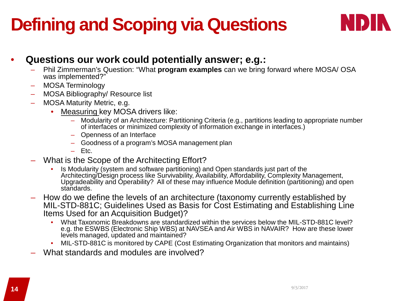# **Defining and Scoping via Questions**



### • **Questions our work could potentially answer; e.g.:**

- Phil Zimmerman's Question: "What **program examples** can we bring forward where MOSA/ OSA was implemented?"
- MOSA Terminology
- MOSA Bibliography/ Resource list
- MOSA Maturity Metric, e.g.
	- Measuring key MOSA drivers like:
		- Modularity of an Architecture: Partitioning Criteria (e.g., partitions leading to appropriate number of interfaces or minimized complexity of information exchange in interfaces.)
		- Openness of an Interface
		- Goodness of a program's MOSA management plan
		- Etc.
- What is the Scope of the Architecting Effort?
	- Is Modularity (system and software partitioning) and Open standards just part of the Architecting/Design process like Survivability, Availability, Affordability, Complexity Management, Upgradeability and Operability? All of these may influence Module definition (partitioning) and open standards.
- How do we define the levels of an architecture (taxonomy currently established by MIL-STD-881C; Guidelines Used as Basis for Cost Estimating and Establishing Line Items Used for an Acquisition Budget)?
	- What Taxonomic Breakdowns are standardized within the services below the MIL-STD-881C level? e.g. the ESWBS (Electronic Ship WBS) at NAVSEA and Air WBS in NAVAIR? How are these lower levels managed, updated and maintained?
	- MIL-STD-881C is monitored by CAPE (Cost Estimating Organization that monitors and maintains)
- What standards and modules are involved?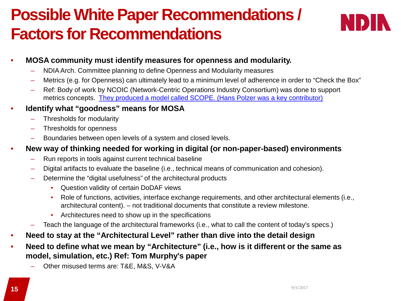### **Possible White Paper Recommendations / Factors for Recommendations**



#### • **MOSA community must identify measures for openness and modularity.**

- NDIA Arch. Committee planning to define Openness and Modularity measures
- Metrics (e.g. for Openness) can ultimately lead to a minimum level of adherence in order to "Check the Box"
- Ref: Body of work by NCOIC (Network-Centric Operations Industry Consortium) was done to support metrics concepts. [They produced a model called SCOPE. \(Hans Polzer](http://slideplayer.com/slide/6648480/) was a key contributor)

#### • **Identify what "goodness" means for MOSA**

- Thresholds for modularity
- Thresholds for openness
- Boundaries between open levels of a system and closed levels.

#### • **New way of thinking needed for working in digital (or non-paper-based) environments**

- Run reports in tools against current technical baseline
- Digital artifacts to evaluate the baseline (i.e., technical means of communication and cohesion).
- Determine the "digital usefulness" of the architectural products
	- Question validity of certain DoDAF views
	- Role of functions, activities, interface exchange requirements, and other architectural elements (i.e., architectural content). – not traditional documents that constitute a review milestone.
	- Architectures need to show up in the specifications
- Teach the language of the architectural frameworks (i.e., what to call the content of today's specs.)
- **Need to stay at the "Architectural Level" rather than dive into the detail design**
- **Need to define what we mean by "Architecture" (i.e., how is it different or the same as model, simulation, etc.) Ref: Tom Murphy's paper**
	- Other misused terms are: T&E, M&S, V-V&A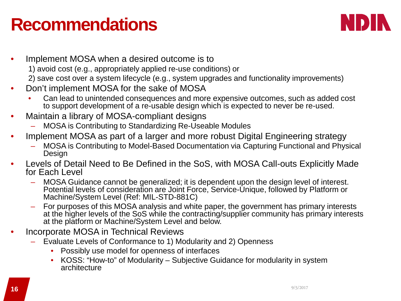### **Recommendations**



- Implement MOSA when a desired outcome is to 1) avoid cost (e.g., appropriately applied re-use conditions) or 2) save cost over a system lifecycle (e.g., system upgrades and functionality improvements)
- Don't implement MOSA for the sake of MOSA
	- Can lead to unintended consequences and more expensive outcomes, such as added cost to support development of a re-usable design which is expected to never be re-used.
- Maintain a library of MOSA-compliant designs
	- MOSA is Contributing to Standardizing Re-Useable Modules
- Implement MOSA as part of a larger and more robust Digital Engineering strategy
	- MOSA is Contributing to Model-Based Documentation via Capturing Functional and Physical Design
- Levels of Detail Need to Be Defined in the SoS, with MOSA Call-outs Explicitly Made for Each Level
	- MOSA Guidance cannot be generalized; it is dependent upon the design level of interest. Potential levels of consideration are Joint Force, Service-Unique, followed by Platform or Machine/System Level (Ref: MIL-STD-881C)
	- For purposes of this MOSA analysis and white paper, the government has primary interests at the higher levels of the SoS while the contracting/supplier community has primary interests at the platform or Machine/System Level and below.
- Incorporate MOSA in Technical Reviews
	- Evaluate Levels of Conformance to 1) Modularity and 2) Openness
		- Possibly use model for openness of interfaces
		- KOSS: "How-to" of Modularity Subjective Guidance for modularity in system architecture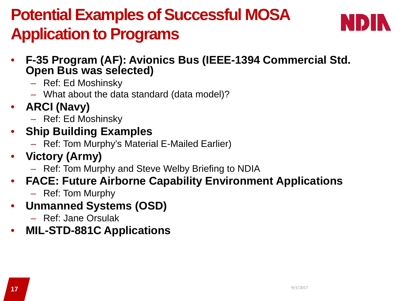### **Potential Examples of Successful MOSA Application to Programs**



- **F-35 Program (AF): Avionics Bus (IEEE-1394 Commercial Std. Open Bus was selected)**
	- Ref: Ed Moshinsky
	- What about the data standard (data model)?
- **ARCI (Navy)**
	- Ref: Ed Moshinsky
- **Ship Building Examples**
	- Ref: Tom Murphy's Material E-Mailed Earlier)
- **Victory (Army)**
	- Ref: Tom Murphy and Steve Welby Briefing to NDIA
- **FACE: Future Airborne Capability Environment Applications**
	- Ref: Tom Murphy
- **Unmanned Systems (OSD)**
	- Ref: Jane Orsulak
- **MIL-STD-881C Applications**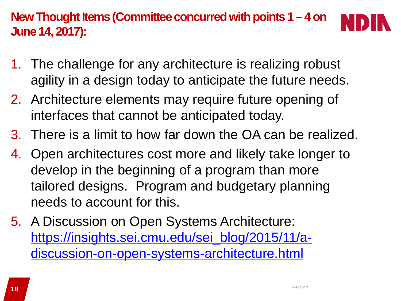**New Thought Items (Committee concurred with points 1 – 4 on June 14, 2017):**

- 1. The challenge for any architecture is realizing robust agility in a design today to anticipate the future needs.
- 2. Architecture elements may require future opening of interfaces that cannot be anticipated today.
- 3. There is a limit to how far down the OA can be realized.
- 4. Open architectures cost more and likely take longer to develop in the beginning of a program than more tailored designs. Program and budgetary planning needs to account for this.
- 5. A Discussion on Open Systems Architecture: [https://insights.sei.cmu.edu/sei\\_blog/2015/11/a](https://insights.sei.cmu.edu/sei_blog/2015/11/a-discussion-on-open-systems-architecture.html)[discussion-on-open-systems-architecture.html](https://insights.sei.cmu.edu/sei_blog/2015/11/a-discussion-on-open-systems-architecture.html)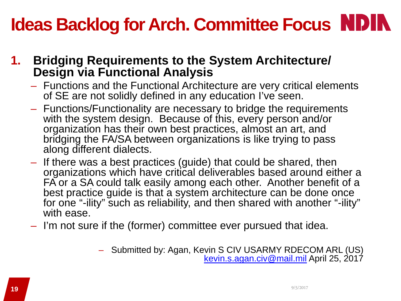# **Ideas Backlog for Arch. Committee Focus NDIN**

### **1. Bridging Requirements to the System Architecture/ Design via Functional Analysis**

- Functions and the Functional Architecture are very critical elements of SE are not solidly defined in any education I've seen.
- Functions/Functionality are necessary to bridge the requirements with the system design. Because of this, every person and/or organization has their own best practices, almost an art, and bridging the FA/SA between organizations is like trying to pass along different dialects.
- If there was a best practices (guide) that could be shared, then organizations which have critical deliverables based around either a FA or a SA could talk easily among each other. Another benefit of a best practice guide is that a system architecture can be done once for one "-ility" such as reliability, and then shared with another "-ility" with ease.
- I'm not sure if the (former) committee ever pursued that idea.
	- Submitted by: Agan, Kevin S CIV USARMY RDECOM ARL (US) [kevin.s.agan.civ@mail.mil](mailto:kevin.s.agan.civ@mail.mil) April 25, 2017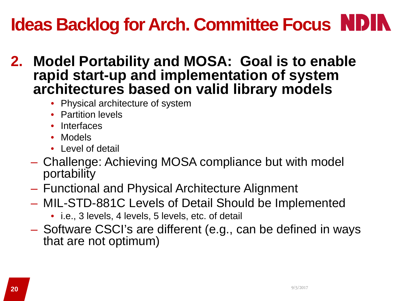# **Ideas Backlog for Arch. Committee Focus**

- **2. Model Portability and MOSA: Goal is to enable rapid start-up and implementation of system architectures based on valid library models**
	- Physical architecture of system
	- Partition levels
	- Interfaces
	- Models
	- Level of detail
	- Challenge: Achieving MOSA compliance but with model portability
	- Functional and Physical Architecture Alignment
	- MIL-STD-881C Levels of Detail Should be Implemented
		- i.e., 3 levels, 4 levels, 5 levels, etc. of detail
	- Software CSCI's are different (e.g., can be defined in ways that are not optimum)